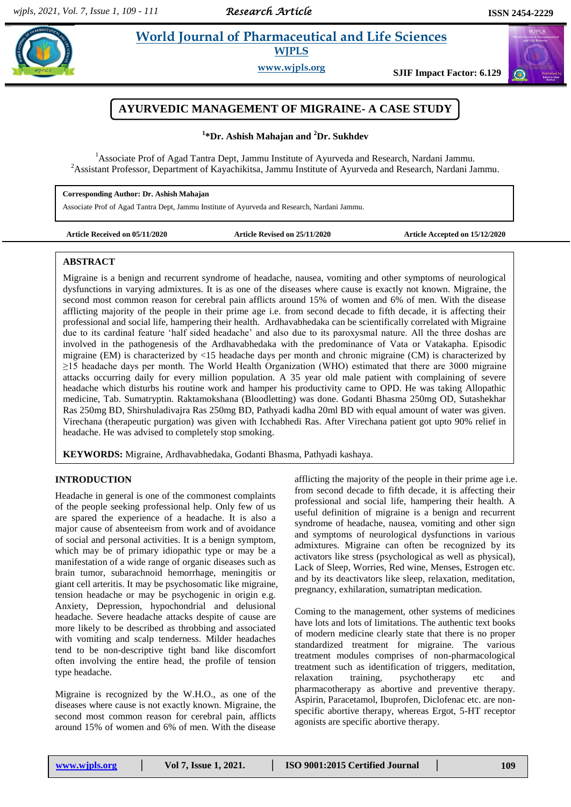*Research Article* 

### **Ashim** *et al.* **2016** *et al. a**et al. <b>asking the Science Contract Contract Contract and Life Sciences* **World Journal of Pharmaceutical and Life Sciences WJPLS**



# $\sigma$

# **AYURVEDIC MANAGEMENT OF MIGRAINE- A CASE STUDY**

**1 \*Dr. Ashish Mahajan and <sup>2</sup>Dr. Sukhdev**

<sup>1</sup>Associate Prof of Agad Tantra Dept, Jammu Institute of Ayurveda and Research, Nardani Jammu. <sup>2</sup>Assistant Professor, Department of Kayachikitsa, Jammu Institute of Ayurveda and Research, Nardani Jammu.

#### **Corresponding Author: Dr. Ashish Mahajan**

Associate Prof of Agad Tantra Dept, Jammu Institute of Ayurveda and Research, Nardani Jammu.

**Article Received on 05/11/2020 Article Revised on 25/11/2020 Article Accepted on 15/12/2020**

#### **ABSTRACT**

Migraine is a benign and recurrent syndrome of headache, nausea, vomiting and other symptoms of neurological dysfunctions in varying admixtures. It is as one of the diseases where cause is exactly not known. Migraine, the second most common reason for cerebral pain afflicts around 15% of women and 6% of men. With the disease afflicting majority of the people in their prime age i.e. from second decade to fifth decade, it is affecting their professional and social life, hampering their health. Ardhavabhedaka can be scientifically correlated with Migraine due to its cardinal feature 'half sided headache' and also due to its paroxysmal nature. All the three doshas are involved in the pathogenesis of the Ardhavabhedaka with the predominance of Vata or Vatakapha. Episodic migraine (EM) is characterized by <15 headache days per month and chronic migraine (CM) is characterized by ≥15 headache days per month. The World Health Organization (WHO) estimated that there are 3000 migraine attacks occurring daily for every million population. A 35 year old male patient with complaining of severe headache which disturbs his routine work and hamper his productivity came to OPD. He was taking Allopathic medicine, Tab. Sumatryptin. Raktamokshana (Bloodletting) was done. Godanti Bhasma 250mg OD, Sutashekhar Ras 250mg BD, Shirshuladivajra Ras 250mg BD, Pathyadi kadha 20ml BD with equal amount of water was given. Virechana (therapeutic purgation) was given with Icchabhedi Ras. After Virechana patient got upto 90% relief in headache. He was advised to completely stop smoking.

**KEYWORDS:** Migraine, Ardhavabhedaka, Godanti Bhasma, Pathyadi kashaya.

## **INTRODUCTION**

Headache in general is one of the commonest complaints of the people seeking professional help. Only few of us are spared the experience of a headache. It is also a major cause of absenteeism from work and of avoidance of social and personal activities. It is a benign symptom, which may be of primary idiopathic type or may be a manifestation of a wide range of organic diseases such as brain tumor, subarachnoid hemorrhage, meningitis or giant cell arteritis. It may be psychosomatic like migraine, tension headache or may be psychogenic in origin e.g. Anxiety, Depression, hypochondrial and delusional headache. Severe headache attacks despite of cause are more likely to be described as throbbing and associated with vomiting and scalp tenderness. Milder headaches tend to be non-descriptive tight band like discomfort often involving the entire head, the profile of tension type headache.

Migraine is recognized by the W.H.O., as one of the diseases where cause is not exactly known. Migraine, the second most common reason for cerebral pain, afflicts around 15% of women and 6% of men. With the disease

afflicting the majority of the people in their prime age i.e. from second decade to fifth decade, it is affecting their professional and social life, hampering their health. A useful definition of migraine is a benign and recurrent syndrome of headache, nausea, vomiting and other sign and symptoms of neurological dysfunctions in various admixtures. Migraine can often be recognized by its activators like stress (psychological as well as physical), Lack of Sleep, Worries, Red wine, Menses, Estrogen etc. and by its deactivators like sleep, relaxation, meditation, pregnancy, exhilaration, sumatriptan medication.

Coming to the management, other systems of medicines have lots and lots of limitations. The authentic text books of modern medicine clearly state that there is no proper standardized treatment for migraine. The various treatment modules comprises of non-pharmacological treatment such as identification of triggers, meditation, relaxation training, psychotherapy etc and pharmacotherapy as abortive and preventive therapy. Aspirin, Paracetamol, Ibuprofen, Diclofenac etc. are nonspecific abortive therapy, whereas Ergot, 5-HT receptor agonists are specific abortive therapy.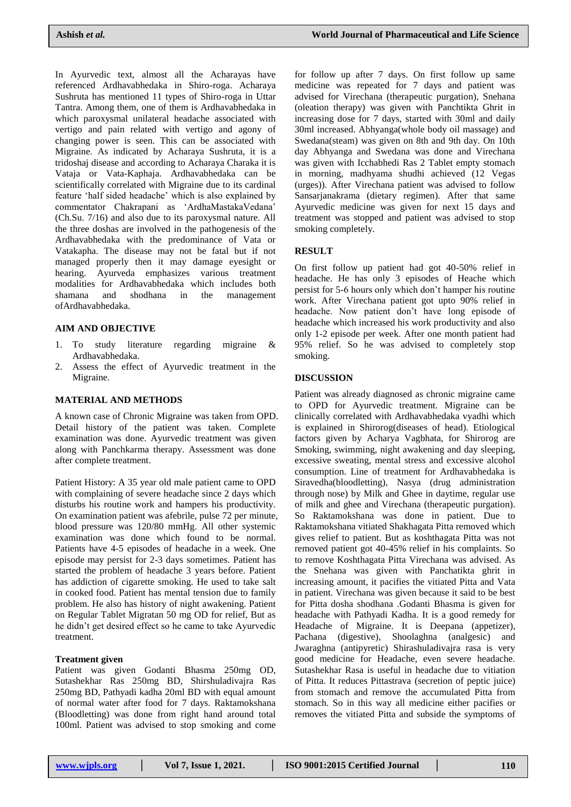In Ayurvedic text, almost all the Acharayas have referenced Ardhavabhedaka in Shiro-roga. Acharaya Sushruta has mentioned 11 types of Shiro-roga in Uttar Tantra. Among them, one of them is Ardhavabhedaka in which paroxysmal unilateral headache associated with vertigo and pain related with vertigo and agony of changing power is seen. This can be associated with Migraine. As indicated by Acharaya Sushruta, it is a tridoshaj disease and according to Acharaya Charaka it is Vataja or Vata-Kaphaja. Ardhavabhedaka can be scientifically correlated with Migraine due to its cardinal feature 'half sided headache' which is also explained by commentator Chakrapani as 'ArdhaMastakaVedana' (Ch.Su. 7/16) and also due to its paroxysmal nature. All the three doshas are involved in the pathogenesis of the Ardhavabhedaka with the predominance of Vata or Vatakapha. The disease may not be fatal but if not managed properly then it may damage eyesight or hearing. Ayurveda emphasizes various treatment modalities for Ardhavabhedaka which includes both shamana and shodhana in the management ofArdhavabhedaka.

#### **AIM AND OBJECTIVE**

- 1. To study literature regarding migraine & Ardhavabhedaka.
- 2. Assess the effect of Ayurvedic treatment in the Migraine.

#### **MATERIAL AND METHODS**

A known case of Chronic Migraine was taken from OPD. Detail history of the patient was taken. Complete examination was done. Ayurvedic treatment was given along with Panchkarma therapy. Assessment was done after complete treatment.

Patient History: A 35 year old male patient came to OPD with complaining of severe headache since 2 days which disturbs his routine work and hampers his productivity. On examination patient was afebrile, pulse 72 per minute, blood pressure was 120/80 mmHg. All other systemic examination was done which found to be normal. Patients have 4-5 episodes of headache in a week. One episode may persist for 2-3 days sometimes. Patient has started the problem of headache 3 years before. Patient has addiction of cigarette smoking. He used to take salt in cooked food. Patient has mental tension due to family problem. He also has history of night awakening. Patient on Regular Tablet Migratan 50 mg OD for relief, But as he didn't get desired effect so he came to take Ayurvedic treatment.

#### **Treatment given**

Patient was given Godanti Bhasma 250mg OD, Sutashekhar Ras 250mg BD, Shirshuladivajra Ras 250mg BD, Pathyadi kadha 20ml BD with equal amount of normal water after food for 7 days. Raktamokshana (Bloodletting) was done from right hand around total 100ml. Patient was advised to stop smoking and come

for follow up after 7 days. On first follow up same medicine was repeated for 7 days and patient was advised for Virechana (therapeutic purgation), Snehana (oleation therapy) was given with Panchtikta Ghrit in increasing dose for 7 days, started with 30ml and daily 30ml increased. Abhyanga(whole body oil massage) and Swedana(steam) was given on 8th and 9th day. On 10th day Abhyanga and Swedana was done and Virechana was given with Icchabhedi Ras 2 Tablet empty stomach in morning, madhyama shudhi achieved (12 Vegas (urges)). After Virechana patient was advised to follow Sansarjanakrama (dietary regimen). After that same Ayurvedic medicine was given for next 15 days and treatment was stopped and patient was advised to stop smoking completely.

#### **RESULT**

On first follow up patient had got 40-50% relief in headache. He has only 3 episodes of Heache which persist for 5-6 hours only which don't hamper his routine work. After Virechana patient got upto 90% relief in headache. Now patient don't have long episode of headache which increased his work productivity and also only 1-2 episode per week. After one month patient had 95% relief. So he was advised to completely stop smoking.

#### **DISCUSSION**

Patient was already diagnosed as chronic migraine came to OPD for Ayurvedic treatment. Migraine can be clinically correlated with Ardhavabhedaka vyadhi which is explained in Shirorog(diseases of head). Etiological factors given by Acharya Vagbhata, for Shirorog are Smoking, swimming, night awakening and day sleeping, excessive sweating, mental stress and excessive alcohol consumption. Line of treatment for Ardhavabhedaka is Siravedha(bloodletting), Nasya (drug administration through nose) by Milk and Ghee in daytime, regular use of milk and ghee and Virechana (therapeutic purgation). So Raktamokshana was done in patient. Due to Raktamokshana vitiated Shakhagata Pitta removed which gives relief to patient. But as koshthagata Pitta was not removed patient got 40-45% relief in his complaints. So to remove Koshthagata Pitta Virechana was advised. As the Snehana was given with Panchatikta ghrit in increasing amount, it pacifies the vitiated Pitta and Vata in patient. Virechana was given because it said to be best for Pitta dosha shodhana .Godanti Bhasma is given for headache with Pathyadi Kadha. It is a good remedy for Headache of Migraine. It is Deepana (appetizer), Pachana (digestive), Shoolaghna (analgesic) and Jwaraghna (antipyretic) Shirashuladivajra rasa is very good medicine for Headache, even severe headache. Sutashekhar Rasa is useful in headache due to vitiation of Pitta. It reduces Pittastrava (secretion of peptic juice) from stomach and remove the accumulated Pitta from stomach. So in this way all medicine either pacifies or removes the vitiated Pitta and subside the symptoms of